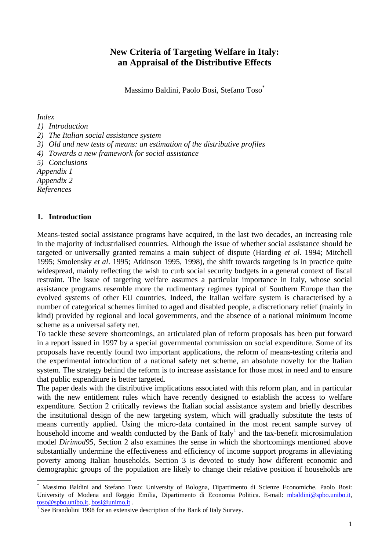# **New Criteria of Targeting Welfare in Italy: an Appraisal of the Distributive Effects**

Massimo Baldini, Paolo Bosi, Stefano Toso\*

*Index*

#### *1) Introduction*

*2) The Italian social assistance system*

*3) Old and new tests of means: an estimation of the distributive profiles*

*4) Towards a new framework for social assistance*

*5) Conclusions*

*Appendix 1*

*Appendix 2*

*References*

 $\overline{a}$ 

#### **1. Introduction**

Means-tested social assistance programs have acquired, in the last two decades, an increasing role in the majority of industrialised countries. Although the issue of whether social assistance should be targeted or universally granted remains a main subject of dispute (Harding *et al*. 1994; Mitchell 1995; Smolensky *et al*. 1995; Atkinson 1995, 1998), the shift towards targeting is in practice quite widespread, mainly reflecting the wish to curb social security budgets in a general context of fiscal restraint. The issue of targeting welfare assumes a particular importance in Italy, whose social assistance programs resemble more the rudimentary regimes typical of Southern Europe than the evolved systems of other EU countries. Indeed, the Italian welfare system is characterised by a number of categorical schemes limited to aged and disabled people, a discretionary relief (mainly in kind) provided by regional and local governments, and the absence of a national minimum income scheme as a universal safety net.

To tackle these severe shortcomings, an articulated plan of reform proposals has been put forward in a report issued in 1997 by a special governmental commission on social expenditure. Some of its proposals have recently found two important applications, the reform of means-testing criteria and the experimental introduction of a national safety net scheme, an absolute novelty for the Italian system. The strategy behind the reform is to increase assistance for those most in need and to ensure that public expenditure is better targeted.

The paper deals with the distributive implications associated with this reform plan, and in particular with the new entitlement rules which have recently designed to establish the access to welfare expenditure. Section 2 critically reviews the Italian social assistance system and briefly describes the institutional design of the new targeting system, which will gradually substitute the tests of means currently applied. Using the micro-data contained in the most recent sample survey of household income and wealth conducted by the Bank of Italy<sup>1</sup> and the tax-benefit microsimulation model *Dirimod95*, Section 2 also examines the sense in which the shortcomings mentioned above substantially undermine the effectiveness and efficiency of income support programs in alleviating poverty among Italian households. Section 3 is devoted to study how different economic and demographic groups of the population are likely to change their relative position if households are

<sup>\*</sup> Massimo Baldini and Stefano Toso: University of Bologna, Dipartimento di Scienze Economiche. Paolo Bosi: University of Modena and Reggio Emilia, Dipartimento di Economia Politica. E-mail: mbaldini@spbo.unibo.it, toso@spbo.unibo.it, bosi@unimo.it .

<sup>&</sup>lt;sup>1</sup> See Brandolini 1998 for an extensive description of the Bank of Italy Survey.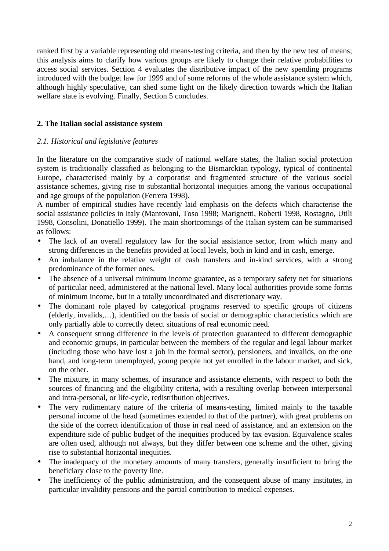ranked first by a variable representing old means-testing criteria, and then by the new test of means; this analysis aims to clarify how various groups are likely to change their relative probabilities to access social services. Section 4 evaluates the distributive impact of the new spending programs introduced with the budget law for 1999 and of some reforms of the whole assistance system which, although highly speculative, can shed some light on the likely direction towards which the Italian welfare state is evolving. Finally, Section 5 concludes.

## **2. The Italian social assistance system**

### *2.1. Historical and legislative features*

In the literature on the comparative study of national welfare states, the Italian social protection system is traditionally classified as belonging to the Bismarckian typology, typical of continental Europe, characterised mainly by a corporatist and fragmented structure of the various social assistance schemes, giving rise to substantial horizontal inequities among the various occupational and age groups of the population (Ferrera 1998).

A number of empirical studies have recently laid emphasis on the defects which characterise the social assistance policies in Italy (Mantovani, Toso 1998; Marignetti, Roberti 1998, Rostagno, Utili 1998, Consolini, Donatiello 1999). The main shortcomings of the Italian system can be summarised as follows:

- The lack of an overall regulatory law for the social assistance sector, from which many and strong differences in the benefits provided at local levels, both in kind and in cash, emerge.
- An imbalance in the relative weight of cash transfers and in-kind services, with a strong predominance of the former ones.
- The absence of a universal minimum income guarantee, as a temporary safety net for situations of particular need, administered at the national level. Many local authorities provide some forms of minimum income, but in a totally uncoordinated and discretionary way.
- The dominant role played by categorical programs reserved to specific groups of citizens (elderly, invalids,…), identified on the basis of social or demographic characteristics which are only partially able to correctly detect situations of real economic need.
- A consequent strong difference in the levels of protection guaranteed to different demographic and economic groups, in particular between the members of the regular and legal labour market (including those who have lost a job in the formal sector), pensioners, and invalids, on the one hand, and long-term unemployed, young people not yet enrolled in the labour market, and sick, on the other.
- The mixture, in many schemes, of insurance and assistance elements, with respect to both the sources of financing and the eligibility criteria, with a resulting overlap between interpersonal and intra-personal, or life-cycle, redistribution objectives.
- The very rudimentary nature of the criteria of means-testing, limited mainly to the taxable personal income of the head (sometimes extended to that of the partner), with great problems on the side of the correct identification of those in real need of assistance, and an extension on the expenditure side of public budget of the inequities produced by tax evasion. Equivalence scales are often used, although not always, but they differ between one scheme and the other, giving rise to substantial horizontal inequities.
- The inadequacy of the monetary amounts of many transfers, generally insufficient to bring the beneficiary close to the poverty line.
- The inefficiency of the public administration, and the consequent abuse of many institutes, in particular invalidity pensions and the partial contribution to medical expenses.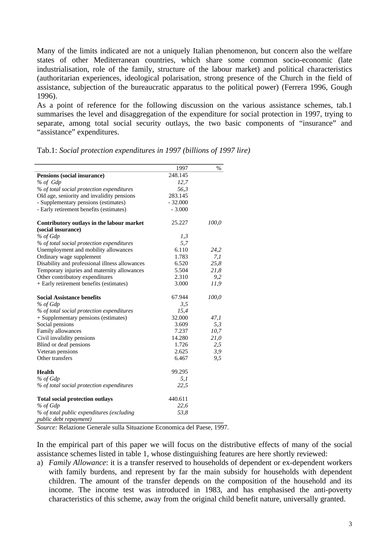Many of the limits indicated are not a uniquely Italian phenomenon, but concern also the welfare states of other Mediterranean countries, which share some common socio-economic (late industrialisation, role of the family, structure of the labour market) and political characteristics (authoritarian experiences, ideological polarisation, strong presence of the Church in the field of assistance, subjection of the bureaucratic apparatus to the political power) (Ferrera 1996, Gough 1996).

As a point of reference for the following discussion on the various assistance schemes, tab.1 summarises the level and disaggregation of the expenditure for social protection in 1997, trying to separate, among total social security outlays, the two basic components of "insurance" and "assistance" expenditures.

|                                                | 1997      | $\%$  |
|------------------------------------------------|-----------|-------|
| Pensions (social insurance)                    | 248.145   |       |
| % of Gdp                                       | 12,7      |       |
| % of total social protection expenditures      | 56,3      |       |
| Old age, seniority and invalidity pensions     | 283.145   |       |
| - Supplementary pensions (estimates)           | $-32.000$ |       |
| - Early retirement benefits (estimates)        | $-3.000$  |       |
| Contributory outlays in the labour market      | 25.227    | 100,0 |
| (social insurance)                             |           |       |
| % of Gdp                                       | 1,3       |       |
| % of total social protection expenditures      | 5,7       |       |
| Unemployment and mobility allowances           | 6.110     | 24,2  |
| Ordinary wage supplement                       | 1.783     | 7,1   |
| Disability and professional illness allowances | 6.520     | 25,8  |
| Temporary injuries and maternity allowances    | 5.504     | 21,8  |
| Other contributory expenditures                | 2.310     | 9,2   |
| + Early retirement benefits (estimates)        | 3.000     | 11,9  |
| <b>Social Assistance benefits</b>              | 67.944    | 100,0 |
| % of Gdp                                       | 3,5       |       |
| % of total social protection expenditures      | 15,4      |       |
| + Supplementary pensions (estimates)           | 32.000    | 47,1  |
| Social pensions                                | 3.609     | 5,3   |
| Family allowances                              | 7.237     | 10,7  |
| Civil invalidity pensions                      | 14.280    | 21,0  |
| Blind or deaf pensions                         | 1.726     | 2,5   |
| Veteran pensions                               | 2.625     | 3,9   |
| Other transfers                                | 6.467     | 9,5   |
| <b>Health</b>                                  | 99.295    |       |
| % of Gdp                                       | 5,1       |       |
| % of total social protection expenditures      | 22,5      |       |
| <b>Total social protection outlays</b>         | 440.611   |       |
| % of Gdp                                       | 22,6      |       |
| % of total public expenditures (excluding      | 53,8      |       |
| public debt repayment)                         |           |       |

Tab.1: *Social protection expenditures in 1997 (billions of 1997 lire)*

*Source:* Relazione Generale sulla Situazione Economica del Paese, 1997.

In the empirical part of this paper we will focus on the distributive effects of many of the social assistance schemes listed in table 1, whose distinguishing features are here shortly reviewed:

a) *Family Allowance*: it is a transfer reserved to households of dependent or ex-dependent workers with family burdens, and represent by far the main subsidy for households with dependent children. The amount of the transfer depends on the composition of the household and its income. The income test was introduced in 1983, and has emphasised the anti-poverty characteristics of this scheme, away from the original child benefit nature, universally granted.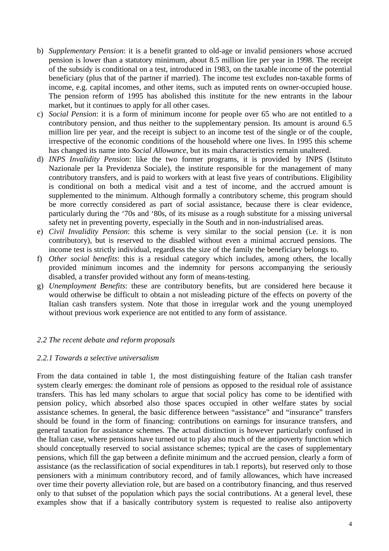- b) *Supplementary Pension*: it is a benefit granted to old-age or invalid pensioners whose accrued pension is lower than a statutory minimum, about 8.5 million lire per year in 1998. The receipt of the subsidy is conditional on a test, introduced in 1983, on the taxable income of the potential beneficiary (plus that of the partner if married). The income test excludes non-taxable forms of income, e.g. capital incomes, and other items, such as imputed rents on owner-occupied house. The pension reform of 1995 has abolished this institute for the new entrants in the labour market, but it continues to apply for all other cases.
- c) *Social Pension*: it is a form of minimum income for people over 65 who are not entitled to a contributory pension, and thus neither to the supplementary pension. Its amount is around 6.5 million lire per year, and the receipt is subject to an income test of the single or of the couple, irrespective of the economic conditions of the household where one lives. In 1995 this scheme has changed its name into *Social Allowance*, but its main characteristics remain unaltered.
- d) *INPS Invalidity Pension*: like the two former programs, it is provided by INPS (Istituto Nazionale per la Previdenza Sociale), the institute responsible for the management of many contributory transfers, and is paid to workers with at least five years of contributions. Eligibility is conditional on both a medical visit and a test of income, and the accrued amount is supplemented to the minimum. Although formally a contributory scheme, this program should be more correctly considered as part of social assistance, because there is clear evidence, particularly during the '70s and '80s, of its misuse as a rough substitute for a missing universal safety net in preventing poverty, especially in the South and in non-industrialised areas.
- e) *Civil Invalidity Pension*: this scheme is very similar to the social pension (i.e. it is non contributory), but is reserved to the disabled without even a minimal accrued pensions. The income test is strictly individual, regardless the size of the family the beneficiary belongs to.
- f) *Other social benefits*: this is a residual category which includes, among others, the locally provided minimum incomes and the indemnity for persons accompanying the seriously disabled, a transfer provided without any form of means-testing.
- g) *Unemployment Benefits*: these are contributory benefits, but are considered here because it would otherwise be difficult to obtain a not misleading picture of the effects on poverty of the Italian cash transfers system. Note that those in irregular work and the young unemployed without previous work experience are not entitled to any form of assistance.

## *2.2 The recent debate and reform proposals*

#### *2.2.1 Towards a selective universalism*

From the data contained in table 1, the most distinguishing feature of the Italian cash transfer system clearly emerges: the dominant role of pensions as opposed to the residual role of assistance transfers. This has led many scholars to argue that social policy has come to be identified with pension policy, which absorbed also those spaces occupied in other welfare states by social assistance schemes. In general, the basic difference between "assistance" and "insurance" transfers should be found in the form of financing: contributions on earnings for insurance transfers, and general taxation for assistance schemes. The actual distinction is however particularly confused in the Italian case, where pensions have turned out to play also much of the antipoverty function which should conceptually reserved to social assistance schemes; typical are the cases of supplementary pensions, which fill the gap between a definite minimum and the accrued pension, clearly a form of assistance (as the reclassification of social expenditures in tab.1 reports), but reserved only to those pensioners with a minimum contributory record, and of family allowances, which have increased over time their poverty alleviation role, but are based on a contributory financing, and thus reserved only to that subset of the population which pays the social contributions. At a general level, these examples show that if a basically contributory system is requested to realise also antipoverty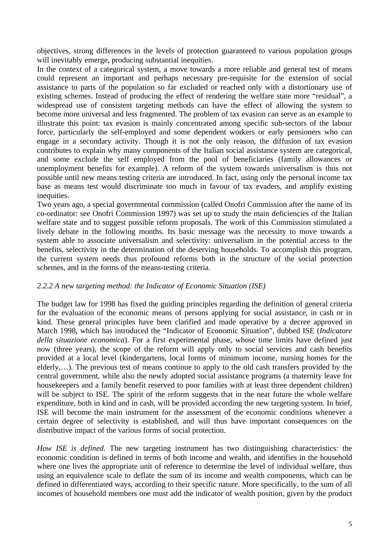objectives, strong differences in the levels of protection guaranteed to various population groups will inevitably emerge, producing substantial inequities.

In the context of a categorical system, a move towards a more reliable and general test of means could represent an important and perhaps necessary pre-requisite for the extension of social assistance to parts of the population so far excluded or reached only with a distortionary use of existing schemes. Instead of producing the effect of rendering the welfare state more "residual", a widespread use of consistent targeting methods can have the effect of allowing the system to become more universal and less fragmented. The problem of tax evasion can serve as an example to illustrate this point: tax evasion is mainly concentrated among specific sub-sectors of the labour force, particularly the self-employed and some dependent workers or early pensioners who can engage in a secondary activity. Though it is not the only reason, the diffusion of tax evasion contributes to explain why many components of the Italian social assistance system are categorical, and some exclude the self employed from the pool of beneficiaries (family allowances or unemployment benefits for example). A reform of the system towards universalism is thus not possible until new means testing criteria are introduced. In fact, using only the personal income tax base as means test would discriminate too much in favour of tax evaders, and amplify existing inequities.

Two years ago, a special governmental commission (called Onofri Commission after the name of its co-ordinator: see Onofri Commission 1997) was set up to study the main deficiencies of the Italian welfare state and to suggest possible reform proposals. The work of this Commission stimulated a lively debate in the following months. Its basic message was the necessity to move towards a system able to associate universalism and selectivity: universalism in the potential access to the benefits, selectivity in the determination of the deserving households. To accomplish this program, the current system needs thus profound reforms both in the structure of the social protection schemes, and in the forms of the means-testing criteria.

## *2.2.2 A new targeting method: the Indicator of Economic Situation (ISE)*

The budget law for 1998 has fixed the guiding principles regarding the definition of general criteria for the evaluation of the economic means of persons applying for social assistance, in cash or in kind. These general principles have been clarified and made operative by a decree approved in March 1998, which has introduced the "Indicator of Economic Situation", dubbed ISE (*Indicatore della situazione economica*). For a first experimental phase, whose time limits have defined just now (three years), the scope of the reform will apply only to social services and cash benefits provided at a local level (kindergartens, local forms of minimum income, nursing homes for the elderly,…). The previous test of means continue to apply to the old cash transfers provided by the central government, while also the newly adopted social assistance programs (a maternity leave for housekeepers and a family benefit reserved to poor families with at least three dependent children) will be subject to ISE. The spirit of the reform suggests that in the near future the whole welfare expenditure, both in kind and in cash, will be provided according the new targeting system. In brief, ISE will become the main instrument for the assessment of the economic conditions whenever a certain degree of selectivity is established, and will thus have important consequences on the distributive impact of the various forms of social protection.

*How ISE is defined*. The new targeting instrument has two distinguishing characteristics: the economic condition is defined in terms of both income and wealth, and identifies in the household where one lives the appropriate unit of reference to determine the level of individual welfare, thus using an equivalence scale to deflate the sum of its income and wealth components, which can be defined in differentiated ways, according to their specific nature. More specifically, to the sum of all incomes of household members one must add the indicator of wealth position, given by the product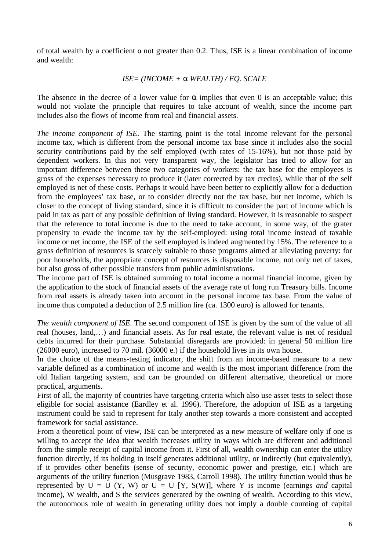of total wealth by a coefficient  $\alpha$  not greater than 0.2. Thus, ISE is a linear combination of income and wealth:

### *ISE= (INCOME + a WEALTH) / EQ. SCALE*

The absence in the decree of a lower value for  $\alpha$  implies that even 0 is an acceptable value; this would not violate the principle that requires to take account of wealth, since the income part includes also the flows of income from real and financial assets.

*The income component of ISE*. The starting point is the total income relevant for the personal income tax, which is different from the personal income tax base since it includes also the social security contributions paid by the self employed (with rates of 15-16%), but not those paid by dependent workers. In this not very transparent way, the legislator has tried to allow for an important difference between these two categories of workers: the tax base for the employees is gross of the expenses necessary to produce it (later corrected by tax credits), while that of the self employed is net of these costs. Perhaps it would have been better to explicitly allow for a deduction from the employees' tax base, or to consider directly not the tax base, but net income, which is closer to the concept of living standard, since it is difficult to consider the part of income which is paid in tax as part of any possible definition of living standard. However, it is reasonable to suspect that the reference to total income is due to the need to take account, in some way, of the grater propensity to evade the income tax by the self-employed: using total income instead of taxable income or net income, the ISE of the self employed is indeed augmented by 15%. The reference to a gross definition of resources is scarcely suitable to those programs aimed at alleviating poverty: for poor households, the appropriate concept of resources is disposable income, not only net of taxes, but also gross of other possible transfers from public administrations.

The income part of ISE is obtained summing to total income a normal financial income, given by the application to the stock of financial assets of the average rate of long run Treasury bills. Income from real assets is already taken into account in the personal income tax base. From the value of income thus computed a deduction of 2.5 million lire (ca. 1300 euro) is allowed for tenants.

*The wealth component of ISE*. The second component of ISE is given by the sum of the value of all real (houses, land,…) and financial assets. As for real estate, the relevant value is net of residual debts incurred for their purchase. Substantial disregards are provided: in general 50 million lire (26000 euro), increased to 70 mil. (36000 e.) if the household lives in its own house.

In the choice of the means-testing indicator, the shift from an income-based measure to a new variable defined as a combination of income and wealth is the most important difference from the old Italian targeting system, and can be grounded on different alternative, theoretical or more practical, arguments.

First of all, the majority of countries have targeting criteria which also use asset tests to select those eligible for social assistance (Eardley et al. 1996). Therefore, the adoption of ISE as a targeting instrument could be said to represent for Italy another step towards a more consistent and accepted framework for social assistance.

From a theoretical point of view, ISE can be interpreted as a new measure of welfare only if one is willing to accept the idea that wealth increases utility in ways which are different and additional from the simple receipt of capital income from it. First of all, wealth ownership can enter the utility function directly, if its holding in itself generates additional utility, or indirectly (but equivalently), if it provides other benefits (sense of security, economic power and prestige, etc.) which are arguments of the utility function (Musgrave 1983, Carroll 1998). The utility function would thus be represented by  $U = U(Y, W)$  or  $U = U(Y, S(W))$ , where Y is income (earnings *and* capital income), W wealth, and S the services generated by the owning of wealth. According to this view, the autonomous role of wealth in generating utility does not imply a double counting of capital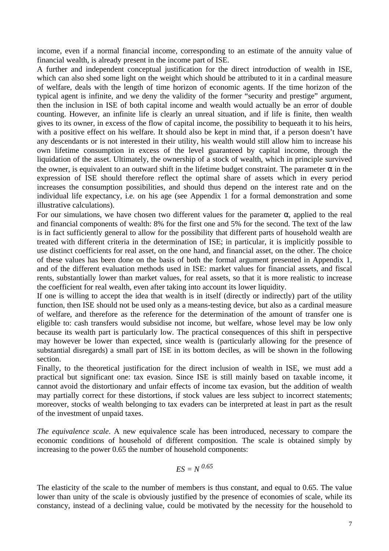income, even if a normal financial income, corresponding to an estimate of the annuity value of financial wealth, is already present in the income part of ISE.

A further and independent conceptual justification for the direct introduction of wealth in ISE, which can also shed some light on the weight which should be attributed to it in a cardinal measure of welfare, deals with the length of time horizon of economic agents. If the time horizon of the typical agent is infinite, and we deny the validity of the former "security and prestige" argument, then the inclusion in ISE of both capital income and wealth would actually be an error of double counting. However, an infinite life is clearly an unreal situation, and if life is finite, then wealth gives to its owner, in excess of the flow of capital income, the possibility to bequeath it to his heirs, with a positive effect on his welfare. It should also be kept in mind that, if a person doesn't have any descendants or is not interested in their utility, his wealth would still allow him to increase his own lifetime consumption in excess of the level guaranteed by capital income, through the liquidation of the asset. Ultimately, the ownership of a stock of wealth, which in principle survived the owner, is equivalent to an outward shift in the lifetime budget constraint. The parameter  $\alpha$  in the expression of ISE should therefore reflect the optimal share of assets which in every period increases the consumption possibilities, and should thus depend on the interest rate and on the individual life expectancy, i.e. on his age (see Appendix 1 for a formal demonstration and some illustrative calculations).

For our simulations, we have chosen two different values for the parameter  $\alpha$ , applied to the real and financial components of wealth: 8% for the first one and 5% for the second. The text of the law is in fact sufficiently general to allow for the possibility that different parts of household wealth are treated with different criteria in the determination of ISE; in particular, it is implicitly possible to use distinct coefficients for real asset, on the one hand, and financial asset, on the other. The choice of these values has been done on the basis of both the formal argument presented in Appendix 1, and of the different evaluation methods used in ISE: market values for financial assets, and fiscal rents, substantially lower than market values, for real assets, so that it is more realistic to increase the coefficient for real wealth, even after taking into account its lower liquidity.

If one is willing to accept the idea that wealth is in itself (directly or indirectly) part of the utility function, then ISE should not be used only as a means-testing device, but also as a cardinal measure of welfare, and therefore as the reference for the determination of the amount of transfer one is eligible to: cash transfers would subsidise not income, but welfare, whose level may be low only because its wealth part is particularly low. The practical consequences of this shift in perspective may however be lower than expected, since wealth is (particularly allowing for the presence of substantial disregards) a small part of ISE in its bottom deciles, as will be shown in the following section.

Finally, to the theoretical justification for the direct inclusion of wealth in ISE, we must add a practical but significant one: tax evasion. Since ISE is still mainly based on taxable income, it cannot avoid the distortionary and unfair effects of income tax evasion, but the addition of wealth may partially correct for these distortions, if stock values are less subject to incorrect statements; moreover, stocks of wealth belonging to tax evaders can be interpreted at least in part as the result of the investment of unpaid taxes.

*The equivalence scale*. A new equivalence scale has been introduced, necessary to compare the economic conditions of household of different composition. The scale is obtained simply by increasing to the power 0.65 the number of household components:

$$
ES = N^{0.65}
$$

The elasticity of the scale to the number of members is thus constant, and equal to 0.65. The value lower than unity of the scale is obviously justified by the presence of economies of scale, while its constancy, instead of a declining value, could be motivated by the necessity for the household to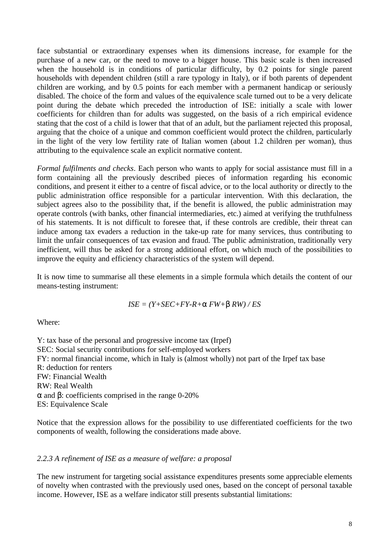face substantial or extraordinary expenses when its dimensions increase, for example for the purchase of a new car, or the need to move to a bigger house. This basic scale is then increased when the household is in conditions of particular difficulty, by 0.2 points for single parent households with dependent children (still a rare typology in Italy), or if both parents of dependent children are working, and by 0.5 points for each member with a permanent handicap or seriously disabled. The choice of the form and values of the equivalence scale turned out to be a very delicate point during the debate which preceded the introduction of ISE: initially a scale with lower coefficients for children than for adults was suggested, on the basis of a rich empirical evidence stating that the cost of a child is lower that that of an adult, but the parliament rejected this proposal, arguing that the choice of a unique and common coefficient would protect the children, particularly in the light of the very low fertility rate of Italian women (about 1.2 children per woman), thus attributing to the equivalence scale an explicit normative content.

*Formal fulfilments and checks*. Each person who wants to apply for social assistance must fill in a form containing all the previously described pieces of information regarding his economic conditions, and present it either to a centre of fiscal advice, or to the local authority or directly to the public administration office responsible for a particular intervention. With this declaration, the subject agrees also to the possibility that, if the benefit is allowed, the public administration may operate controls (with banks, other financial intermediaries, etc.) aimed at verifying the truthfulness of his statements. It is not difficult to foresee that, if these controls are credible, their threat can induce among tax evaders a reduction in the take-up rate for many services, thus contributing to limit the unfair consequences of tax evasion and fraud. The public administration, traditionally very inefficient, will thus be asked for a strong additional effort, on which much of the possibilities to improve the equity and efficiency characteristics of the system will depend.

It is now time to summarise all these elements in a simple formula which details the content of our means-testing instrument:

$$
ISE = (Y + SEC + FY - R + a FW + b RW) / ES
$$

Where:

Y: tax base of the personal and progressive income tax (Irpef) SEC: Social security contributions for self-employed workers FY: normal financial income, which in Italy is (almost wholly) not part of the Irpef tax base R: deduction for renters FW: Financial Wealth RW: Real Wealth *a* and *b*: coefficients comprised in the range 0-20% ES: Equivalence Scale

Notice that the expression allows for the possibility to use differentiated coefficients for the two components of wealth, following the considerations made above.

#### *2.2.3 A refinement of ISE as a measure of welfare: a proposal*

The new instrument for targeting social assistance expenditures presents some appreciable elements of novelty when contrasted with the previously used ones, based on the concept of personal taxable income. However, ISE as a welfare indicator still presents substantial limitations: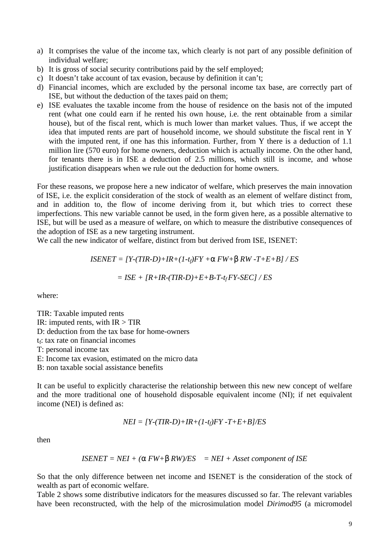- a) It comprises the value of the income tax, which clearly is not part of any possible definition of individual welfare;
- b) It is gross of social security contributions paid by the self employed;
- c) It doesn't take account of tax evasion, because by definition it can't;
- d) Financial incomes, which are excluded by the personal income tax base, are correctly part of ISE, but without the deduction of the taxes paid on them;
- e) ISE evaluates the taxable income from the house of residence on the basis not of the imputed rent (what one could earn if he rented his own house, i.e. the rent obtainable from a similar house), but of the fiscal rent, which is much lower than market values. Thus, if we accept the idea that imputed rents are part of household income, we should substitute the fiscal rent in Y with the imputed rent, if one has this information. Further, from Y there is a deduction of 1.1 million lire (570 euro) for home owners, deduction which is actually income. On the other hand, for tenants there is in ISE a deduction of 2.5 millions, which still is income, and whose justification disappears when we rule out the deduction for home owners.

For these reasons, we propose here a new indicator of welfare, which preserves the main innovation of ISE, i.e. the explicit consideration of the stock of wealth as an element of welfare distinct from, and in addition to, the flow of income deriving from it, but which tries to correct these imperfections. This new variable cannot be used, in the form given here, as a possible alternative to ISE, but will be used as a measure of welfare, on which to measure the distributive consequences of the adoption of ISE as a new targeting instrument.

We call the new indicator of welfare, distinct from but derived from ISE, ISENET:

$$
ISENET = [Y-(TIR-D)+IR+(1-t_f)FY + a FW + b RW-T+E+B]/ES
$$

$$
= ISE + [R+IR-(TIR-D)+E+B-T-t_fFY-SEC]/ES
$$

where:

TIR: Taxable imputed rents IR: imputed rents, with  $IR > TIR$ D: deduction from the tax base for home-owners  $t_f$ : tax rate on financial incomes T: personal income tax E: Income tax evasion, estimated on the micro data B: non taxable social assistance benefits

It can be useful to explicitly characterise the relationship between this new new concept of welfare and the more traditional one of household disposable equivalent income (NI); if net equivalent income (NEI) is defined as:

$$
NEI = [Y-(TIR-D)+IR+(1-t_f)FY-T+E+B]/ES
$$

then

$$
ISENET = NEI + (a FW + b RW)/ES = NEI + Asset\ component\ ofISE
$$

So that the only difference between net income and ISENET is the consideration of the stock of wealth as part of economic welfare.

Table 2 shows some distributive indicators for the measures discussed so far. The relevant variables have been reconstructed, with the help of the microsimulation model *Dirimod95* (a micromodel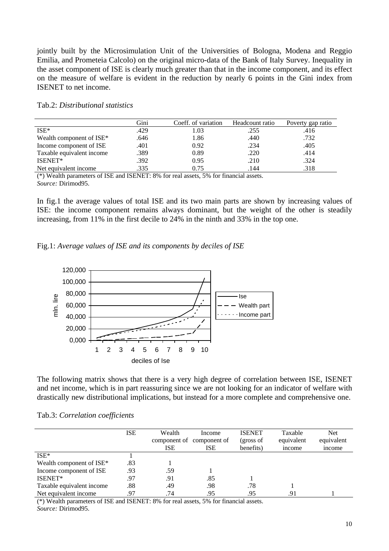jointly built by the Microsimulation Unit of the Universities of Bologna, Modena and Reggio Emilia, and Prometeia Calcolo) on the original micro-data of the Bank of Italy Survey. Inequality in the asset component of ISE is clearly much greater than that in the income component, and its effect on the measure of welfare is evident in the reduction by nearly 6 points in the Gini index from ISENET to net income.

|                           | Gini | Coeff. of variation | Headcount ratio | Poverty gap ratio |
|---------------------------|------|---------------------|-----------------|-------------------|
| $ISE*$                    | .429 | 1.03                | .255            | .416              |
| Wealth component of ISE*  | .646 | 1.86                | .440            | .732              |
| Income component of ISE   | .401 | 0.92                | .234            | .405              |
| Taxable equivalent income | .389 | 0.89                | .220            | .414              |
| ISENET*                   | .392 | 0.95                | .210            | .324              |
| Net equivalent income     | .335 | 0.75                | .144            | .318              |

| Tab.2: Distributional statistics |  |
|----------------------------------|--|
|----------------------------------|--|

(\*) Wealth parameters of ISE and ISENET: 8% for real assets, 5% for financial assets. *Source:* Dirimod95.

In fig.1 the average values of total ISE and its two main parts are shown by increasing values of ISE: the income component remains always dominant, but the weight of the other is steadily increasing, from 11% in the first decile to 24% in the ninth and 33% in the top one.

Fig.1: *Average values of ISE and its components by deciles of ISE*



The following matrix shows that there is a very high degree of correlation between ISE, ISENET and net income, which is in part reassuring since we are not looking for an indicator of welfare with drastically new distributional implications, but instead for a more complete and comprehensive one.

#### Tab.3: *Correlation coefficients*

|                           | <b>ISE</b> | Wealth<br><b>ISE</b> | Income<br>component of component of<br><b>ISE</b> | <b>ISENET</b><br>(gross of<br>benefits) | Taxable<br>equivalent<br>income | <b>Net</b><br>equivalent<br>income |
|---------------------------|------------|----------------------|---------------------------------------------------|-----------------------------------------|---------------------------------|------------------------------------|
| $ISE*$                    |            |                      |                                                   |                                         |                                 |                                    |
| Wealth component of ISE*  | .83        |                      |                                                   |                                         |                                 |                                    |
| Income component of ISE   | .93        | .59                  |                                                   |                                         |                                 |                                    |
| ISENET*                   | .97        | .91                  | .85                                               |                                         |                                 |                                    |
| Taxable equivalent income | .88        | .49                  | .98                                               | .78                                     |                                 |                                    |
| Net equivalent income     | .97        | .74                  | .95                                               | .95                                     | .91                             |                                    |

(\*) Wealth parameters of ISE and ISENET: 8% for real assets, 5% for financial assets. *Source:* Dirimod95.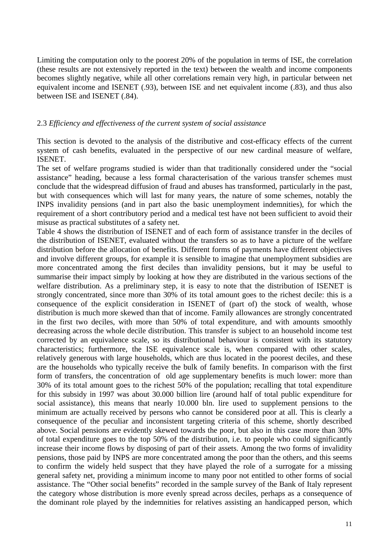Limiting the computation only to the poorest 20% of the population in terms of ISE, the correlation (these results are not extensively reported in the text) between the wealth and income components becomes slightly negative, while all other correlations remain very high, in particular between net equivalent income and ISENET (.93), between ISE and net equivalent income (.83), and thus also between ISE and ISENET (.84).

#### 2.3 *Efficiency and effectiveness of the current system of social assistance*

This section is devoted to the analysis of the distributive and cost-efficacy effects of the current system of cash benefits, evaluated in the perspective of our new cardinal measure of welfare, ISENET.

The set of welfare programs studied is wider than that traditionally considered under the "social assistance" heading, because a less formal characterisation of the various transfer schemes must conclude that the widespread diffusion of fraud and abuses has transformed, particularly in the past, but with consequences which will last for many years, the nature of some schemes, notably the INPS invalidity pensions (and in part also the basic unemployment indemnities), for which the requirement of a short contributory period and a medical test have not been sufficient to avoid their misuse as practical substitutes of a safety net.

Table 4 shows the distribution of ISENET and of each form of assistance transfer in the deciles of the distribution of ISENET, evaluated without the transfers so as to have a picture of the welfare distribution before the allocation of benefits. Different forms of payments have different objectives and involve different groups, for example it is sensible to imagine that unemployment subsidies are more concentrated among the first deciles than invalidity pensions, but it may be useful to summarise their impact simply by looking at how they are distributed in the various sections of the welfare distribution. As a preliminary step, it is easy to note that the distribution of ISENET is strongly concentrated, since more than 30% of its total amount goes to the richest decile: this is a consequence of the explicit consideration in ISENET of (part of) the stock of wealth, whose distribution is much more skewed than that of income. Family allowances are strongly concentrated in the first two deciles, with more than 50% of total expenditure, and with amounts smoothly decreasing across the whole decile distribution. This transfer is subject to an household income test corrected by an equivalence scale, so its distributional behaviour is consistent with its statutory characteristics; furthermore, the ISE equivalence scale is, when compared with other scales, relatively generous with large households, which are thus located in the poorest deciles, and these are the households who typically receive the bulk of family benefits. In comparison with the first form of transfers, the concentration of old age supplementary benefits is much lower: more than 30% of its total amount goes to the richest 50% of the population; recalling that total expenditure for this subsidy in 1997 was about 30.000 billion lire (around half of total public expenditure for social assistance), this means that nearly 10.000 bln. lire used to supplement pensions to the minimum are actually received by persons who cannot be considered poor at all. This is clearly a consequence of the peculiar and inconsistent targeting criteria of this scheme, shortly described above. Social pensions are evidently skewed towards the poor, but also in this case more than 30% of total expenditure goes to the top 50% of the distribution, i.e. to people who could significantly increase their income flows by disposing of part of their assets. Among the two forms of invalidity pensions, those paid by INPS are more concentrated among the poor than the others, and this seems to confirm the widely held suspect that they have played the role of a surrogate for a missing general safety net, providing a minimum income to many poor not entitled to other forms of social assistance. The "Other social benefits" recorded in the sample survey of the Bank of Italy represent the category whose distribution is more evenly spread across deciles, perhaps as a consequence of the dominant role played by the indemnities for relatives assisting an handicapped person, which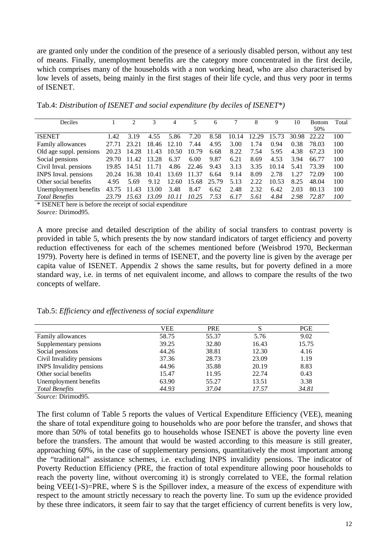are granted only under the condition of the presence of a seriously disabled person, without any test of means. Finally, unemployment benefits are the category more concentrated in the first decile, which comprises many of the households with a non working head, who are also characterised by low levels of assets, being mainly in the first stages of their life cycle, and thus very poor in terms of ISENET.

| Deciles                 |       |       |       | 4     |       | 6     |       | 8     | 9     | 10    | <b>Bottom</b> | Total |
|-------------------------|-------|-------|-------|-------|-------|-------|-------|-------|-------|-------|---------------|-------|
|                         |       |       |       |       |       |       |       |       |       |       | 50%           |       |
| <b>ISENET</b>           | 1.42  | 3.19  | 4.55  | 5.86  | 7.20  | 8.58  | 10.14 | 12.29 | 15.73 | 30.98 | 22.22         | 100   |
| Family allowances       | 27.71 | 23.21 | 18.46 | 12.10 | 7.44  | 4.95  | 3.00  | 1.74  | 0.94  | 0.38  | 78.03         | 100   |
| Old age suppl. pensions | 20.23 | 14.28 | 11.43 | 10.50 | 10.79 | 6.68  | 8.22  | 7.54  | 5.95  | 4.38  | 67.23         | 100   |
| Social pensions         | 29.70 | 11.42 | 13.28 | 6.37  | 6.00  | 9.87  | 6.21  | 8.69  | 4.53  | 3.94  | 66.77         | 100   |
| Civil Inval. pensions   | 19.85 | 14.51 | 11.71 | 4.86  | 22.46 | 9.43  | 3.13  | 3.35  | 10.14 | 5.41  | 73.39         | 100   |
| INPS Inval. pensions    | 20.24 | 16.38 | 10.41 | 13.69 | 11.37 | 6.64  | 9.14  | 8.09  | 2.78  | 1.27  | 72.09         | 100   |
| Other social benefits   | 495   | 5.69  | 9.12  | 12.60 | 15.68 | 25.79 | 5.13  | 2.22  | 10.53 | 8.25  | 48.04         | 100   |
| Unemployment benefits   | 43.75 | 11.43 | 13.00 | 3.48  | 8.47  | 6.62  | 2.48  | 2.32  | 6.42  | 2.03  | 80.13         | 100   |
| <b>Total Benefits</b>   | 23.79 | 15.63 | 13.09 | 10.11 | 10.25 | 7.53  | 6.17  | 5.61  | 4.84  | 2.98  | 72.87         | 100   |

Tab.4: *Distribution of ISENET and social expenditure (by deciles of ISENET\*)*

\* ISENET here is before the receipt of social expenditure *Source:* Dirimod95.

A more precise and detailed description of the ability of social transfers to contrast poverty is provided in table 5, which presents the by now standard indicators of target efficiency and poverty reduction effectiveness for each of the schemes mentioned before (Weisbrod 1970, Beckerman 1979). Poverty here is defined in terms of ISENET, and the poverty line is given by the average per capita value of ISENET. Appendix 2 shows the same results, but for poverty defined in a more standard way, i.e. in terms of net equivalent income, and allows to compare the results of the two concepts of welfare.

Tab.5: *Efficiency and effectiveness of social expenditure*

|                                 | VEE   | <b>PRE</b> |       | <b>PGE</b> |
|---------------------------------|-------|------------|-------|------------|
| Family allowances               | 58.75 | 55.37      | 5.76  | 9.02       |
| Supplementary pensions          | 39.25 | 32.80      | 16.43 | 15.75      |
| Social pensions                 | 44.26 | 38.81      | 12.30 | 4.16       |
| Civil Invalidity pensions       | 37.36 | 28.73      | 23.09 | 1.19       |
| <b>INPS</b> Invalidity pensions | 44.96 | 35.88      | 20.19 | 8.83       |
| Other social benefits           | 15.47 | 11.95      | 22.74 | 0.43       |
| Unemployment benefits           | 63.90 | 55.27      | 13.51 | 3.38       |
| <b>Total Benefits</b>           | 44.93 | 37.04      | 17.57 | 34.81      |

*Source:* Dirimod95.

The first column of Table 5 reports the values of Vertical Expenditure Efficiency (VEE), meaning the share of total expenditure going to households who are poor before the transfer, and shows that more than 50% of total benefits go to households whose ISENET is above the poverty line even before the transfers. The amount that would be wasted according to this measure is still greater, approaching 60%, in the case of supplementary pensions, quantitatively the most important among the "traditional" assistance schemes, i.e. excluding INPS invalidity pensions. The indicator of Poverty Reduction Efficiency (PRE, the fraction of total expenditure allowing poor households to reach the poverty line, without overcoming it) is strongly correlated to VEE, the formal relation being VEE(1-S)=PRE, where S is the Spillover index, a measure of the excess of expenditure with respect to the amount strictly necessary to reach the poverty line. To sum up the evidence provided by these three indicators, it seem fair to say that the target efficiency of current benefits is very low,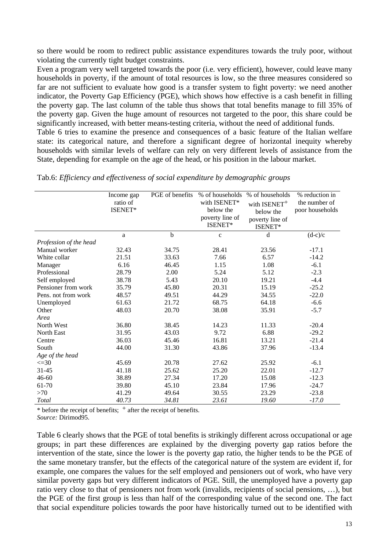so there would be room to redirect public assistance expenditures towards the truly poor, without violating the currently tight budget constraints.

Even a program very well targeted towards the poor (i.e. very efficient), however, could leave many households in poverty, if the amount of total resources is low, so the three measures considered so far are not sufficient to evaluate how good is a transfer system to fight poverty: we need another indicator, the Poverty Gap Efficiency (PGE), which shows how effective is a cash benefit in filling the poverty gap. The last column of the table thus shows that total benefits manage to fill 35% of the poverty gap. Given the huge amount of resources not targeted to the poor, this share could be significantly increased, with better means-testing criteria, without the need of additional funds.

Table 6 tries to examine the presence and consequences of a basic feature of the Italian welfare state: its categorical nature, and therefore a significant degree of horizontal inequity whereby households with similar levels of welfare can rely on very different levels of assistance from the State, depending for example on the age of the head, or his position in the labour market.

|                        | Income gap<br>ratio of<br>ISENET* | PGE of benefits | % of households<br>with ISENET*<br>below the<br>poverty line of<br>ISENET* | % of households<br>with ISENET <sup>+</sup><br>below the<br>poverty line of<br>ISENET* | % reduction in<br>the number of<br>poor households |
|------------------------|-----------------------------------|-----------------|----------------------------------------------------------------------------|----------------------------------------------------------------------------------------|----------------------------------------------------|
|                        | a                                 | $\mathbf b$     | $\mathbf c$                                                                | d                                                                                      | $(d-c)/c$                                          |
| Profession of the head |                                   |                 |                                                                            |                                                                                        |                                                    |
| Manual worker          | 32.43                             | 34.75           | 28.41                                                                      | 23.56                                                                                  | $-17.1$                                            |
| White collar           | 21.51                             | 33.63           | 7.66                                                                       | 6.57                                                                                   | $-14.2$                                            |
| Manager                | 6.16                              | 46.45           | 1.15                                                                       | 1.08                                                                                   | $-6.1$                                             |
| Professional           | 28.79                             | 2.00            | 5.24                                                                       | 5.12                                                                                   | $-2.3$                                             |
| Self employed          | 38.78                             | 5.43            | 20.10                                                                      | 19.21                                                                                  | $-4.4$                                             |
| Pensioner from work    | 35.79                             | 45.80           | 20.31                                                                      | 15.19                                                                                  | $-25.2$                                            |
| Pens. not from work    | 48.57                             | 49.51           | 44.29                                                                      | 34.55                                                                                  | $-22.0$                                            |
| Unemployed             | 61.63                             | 21.72           | 68.75                                                                      | 64.18                                                                                  | $-6.6$                                             |
| Other                  | 48.03                             | 20.70           | 38.08                                                                      | 35.91                                                                                  | $-5.7$                                             |
| Area                   |                                   |                 |                                                                            |                                                                                        |                                                    |
| North West             | 36.80                             | 38.45           | 14.23                                                                      | 11.33                                                                                  | $-20.4$                                            |
| North East             | 31.95                             | 43.03           | 9.72                                                                       | 6.88                                                                                   | $-29.2$                                            |
| Centre                 | 36.03                             | 45.46           | 16.81                                                                      | 13.21                                                                                  | $-21.4$                                            |
| South                  | 44.00                             | 31.30           | 43.86                                                                      | 37.96                                                                                  | $-13.4$                                            |
| Age of the head        |                                   |                 |                                                                            |                                                                                        |                                                    |
| $\leq 30$              | 45.69                             | 20.78           | 27.62                                                                      | 25.92                                                                                  | $-6.1$                                             |
| $31 - 45$              | 41.18                             | 25.62           | 25.20                                                                      | 22.01                                                                                  | $-12.7$                                            |
| 46-60                  | 38.89                             | 27.34           | 17.20                                                                      | 15.08                                                                                  | $-12.3$                                            |
| 61-70                  | 39.80                             | 45.10           | 23.84                                                                      | 17.96                                                                                  | $-24.7$                                            |
| >70                    | 41.29                             | 49.64           | 30.55                                                                      | 23.29                                                                                  | $-23.8$                                            |
| Total                  | 40.73                             | 34.81           | 23.61                                                                      | 19.60                                                                                  | $-17.0$                                            |

Tab.6: *Efficiency and effectiveness of social expenditure by demographic groups*

 $*$  before the receipt of benefits;  $+$  after the receipt of benefits.

*Source:* Dirimod95.

Table 6 clearly shows that the PGE of total benefits is strikingly different across occupational or age groups; in part these differences are explained by the diverging poverty gap ratios before the intervention of the state, since the lower is the poverty gap ratio, the higher tends to be the PGE of the same monetary transfer, but the effects of the categorical nature of the system are evident if, for example, one compares the values for the self employed and pensioners out of work, who have very similar poverty gaps but very different indicators of PGE. Still, the unemployed have a poverty gap ratio very close to that of pensioners not from work (invalids, recipients of social pensions, …), but the PGE of the first group is less than half of the corresponding value of the second one. The fact that social expenditure policies towards the poor have historically turned out to be identified with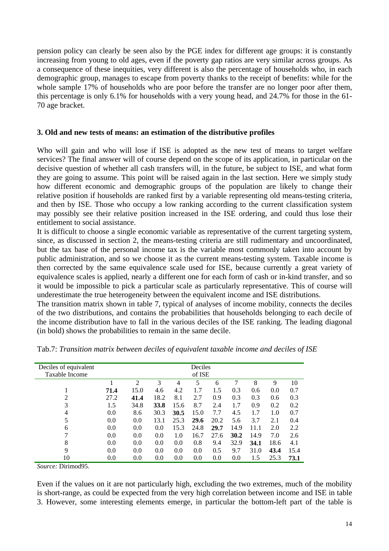pension policy can clearly be seen also by the PGE index for different age groups: it is constantly increasing from young to old ages, even if the poverty gap ratios are very similar across groups. As a consequence of these inequities, very different is also the percentage of households who, in each demographic group, manages to escape from poverty thanks to the receipt of benefits: while for the whole sample 17% of households who are poor before the transfer are no longer poor after them, this percentage is only 6.1% for households with a very young head, and 24.7% for those in the 61- 70 age bracket.

### **3. Old and new tests of means: an estimation of the distributive profiles**

Who will gain and who will lose if ISE is adopted as the new test of means to target welfare services? The final answer will of course depend on the scope of its application, in particular on the decisive question of whether all cash transfers will, in the future, be subject to ISE, and what form they are going to assume. This point will be raised again in the last section. Here we simply study how different economic and demographic groups of the population are likely to change their relative position if households are ranked first by a variable representing old means-testing criteria, and then by ISE. Those who occupy a low ranking according to the current classification system may possibly see their relative position increased in the ISE ordering, and could thus lose their entitlement to social assistance.

It is difficult to choose a single economic variable as representative of the current targeting system, since, as discussed in section 2, the means-testing criteria are still rudimentary and uncoordinated, but the tax base of the personal income tax is the variable most commonly taken into account by public administration, and so we choose it as the current means-testing system. Taxable income is then corrected by the same equivalence scale used for ISE, because currently a great variety of equivalence scales is applied, nearly a different one for each form of cash or in-kind transfer, and so it would be impossible to pick a particular scale as particularly representative. This of course will underestimate the true heterogeneity between the equivalent income and ISE distributions.

The transition matrix shown in table 7, typical of analyses of income mobility, connects the deciles of the two distributions, and contains the probabilities that households belonging to each decile of the income distribution have to fall in the various deciles of the ISE ranking. The leading diagonal (in bold) shows the probabilities to remain in the same decile.

| Deciles of equivalent |      | Deciles        |      |      |        |      |      |      |      |      |
|-----------------------|------|----------------|------|------|--------|------|------|------|------|------|
| Taxable Income        |      |                |      |      | of ISE |      |      |      |      |      |
|                       |      | $\overline{2}$ | 3    | 4    | 5      | 6    | 7    | 8    | 9    | 10   |
|                       | 71.4 | 15.0           | 4.6  | 4.2  | 1.7    | 1.5  | 0.3  | 0.6  | 0.0  | 0.7  |
| 2                     | 27.2 | 41.4           | 18.2 | 8.1  | 2.7    | 0.9  | 0.3  | 0.3  | 0.6  | 0.3  |
| 3                     | 1.5  | 34.8           | 33.8 | 15.6 | 8.7    | 2.4  | 1.7  | 0.9  | 0.2  | 0.2  |
| 4                     | 0.0  | 8.6            | 30.3 | 30.5 | 15.0   | 7.7  | 4.5  | 1.7  | 1.0  | 0.7  |
| 5                     | 0.0  | 0.0            | 13.1 | 25.3 | 29.6   | 20.2 | 5.6  | 3.7  | 2.1  | 0.4  |
| 6                     | 0.0  | 0.0            | 0.0  | 15.3 | 24.8   | 29.7 | 14.9 | 11.1 | 2.0  | 2.2  |
| 7                     | 0.0  | 0.0            | 0.0  | 1.0  | 16.7   | 27.6 | 30.2 | 14.9 | 7.0  | 2.6  |
| 8                     | 0.0  | 0.0            | 0.0  | 0.0  | 0.8    | 9.4  | 32.9 | 34.1 | 18.6 | 4.1  |
| 9                     | 0.0  | 0.0            | 0.0  | 0.0  | 0.0    | 0.5  | 9.7  | 31.0 | 43.4 | 15.4 |
| 10                    | 0.0  | 0.0            | 0.0  | 0.0  | 0.0    | 0.0  | 0.0  | 1.5  | 25.3 | 73.1 |

Tab.7: *Transition matrix between deciles of equivalent taxable income and deciles of ISE*

*Source:* Dirimod95.

Even if the values on it are not particularly high, excluding the two extremes, much of the mobility is short-range, as could be expected from the very high correlation between income and ISE in table 3. However, some interesting elements emerge, in particular the bottom-left part of the table is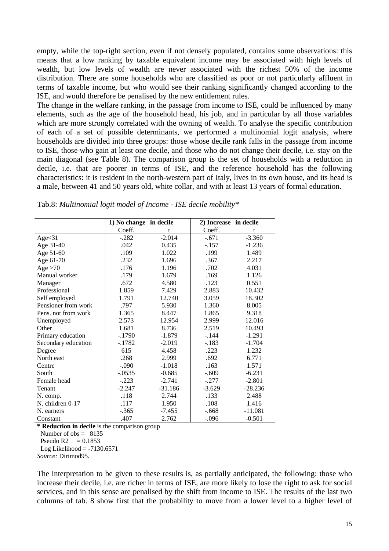empty, while the top-right section, even if not densely populated, contains some observations: this means that a low ranking by taxable equivalent income may be associated with high levels of wealth, but low levels of wealth are never associated with the richest 50% of the income distribution. There are some households who are classified as poor or not particularly affluent in terms of taxable income, but who would see their ranking significantly changed according to the ISE, and would therefore be penalised by the new entitlement rules.

The change in the welfare ranking, in the passage from income to ISE, could be influenced by many elements, such as the age of the household head, his job, and in particular by all those variables which are more strongly correlated with the owning of wealth. To analyse the specific contribution of each of a set of possible determinants, we performed a multinomial logit analysis, where households are divided into three groups: those whose decile rank falls in the passage from income to ISE, those who gain at least one decile, and those who do not change their decile, i.e. stay on the main diagonal (see Table 8). The comparison group is the set of households with a reduction in decile, i.e. that are poorer in terms of ISE, and the reference household has the following characteristics: it is resident in the north-western part of Italy, lives in its own house, and its head is a male, between 41 and 50 years old, white collar, and with at least 13 years of formal education.

|                     | 1) No change in decile |           | 2) Increase in decile |           |
|---------------------|------------------------|-----------|-----------------------|-----------|
|                     | Coeff.                 | t         | Coeff.                | t         |
| Age<31              | $-.282$                | $-2.014$  | $-.671$               | $-3.360$  |
| Age 31-40           | .042                   | 0.435     | $-.157$               | $-1.236$  |
| Age 51-60           | .109                   | 1.022     | .199                  | 1.489     |
| Age 61-70           | .232                   | 1.696     | .367                  | 2.217     |
| Age $>70$           | .176                   | 1.196     | .702                  | 4.031     |
| Manual worker       | .179                   | 1.679     | .169                  | 1.126     |
| Manager             | .672                   | 4.580     | .123                  | 0.551     |
| Professional        | 1.859                  | 7.429     | 2.883                 | 10.432    |
| Self employed       | 1.791                  | 12.740    | 3.059                 | 18.302    |
| Pensioner from work | .797                   | 5.930     | 1.360                 | 8.005     |
| Pens. not from work | 1.365                  | 8.447     | 1.865                 | 9.318     |
| Unemployed          | 2.573                  | 12.954    | 2.999                 | 12.016    |
| Other               | 1.681                  | 8.736     | 2.519                 | 10.493    |
| Primary education   | $-1790$                | $-1.879$  | $-.144$               | $-1.291$  |
| Secondary education | $-.1782$               | $-2.019$  | $-.183$               | $-1.704$  |
| Degree              | 615                    | 4.458     | .223                  | 1.232     |
| North east          | .268                   | 2.999     | .692                  | 6.771     |
| Centre              | $-.090$                | $-1.018$  | .163                  | 1.571     |
| South               | $-.0535$               | $-0.685$  | $-.609$               | $-6.231$  |
| Female head         | $-.223$                | $-2.741$  | $-.277$               | $-2.801$  |
| Tenant              | $-2.247$               | $-31.186$ | $-3.629$              | $-28.236$ |
| N. comp.            | .118                   | 2.744     | .133                  | 2.488     |
| N. children 0-17    | .117                   | 1.950     | .108                  | 1.416     |
| N. earners          | $-.365$                | $-7.455$  | $-.668$               | $-11.081$ |
| Constant            | .407                   | 2.762     | $-.096$               | $-0.501$  |

**\* Reduction in decile** is the comparison group Number of  $obs = 8135$ Pseudo R2  $= 0.1853$ 

Log Likelihood  $= -7130.6571$ 

*Source:* Dirimod95.

The interpretation to be given to these results is, as partially anticipated, the following: those who increase their decile, i.e. are richer in terms of ISE, are more likely to lose the right to ask for social services, and in this sense are penalised by the shift from income to ISE. The results of the last two columns of tab. 8 show first that the probability to move from a lower level to a higher level of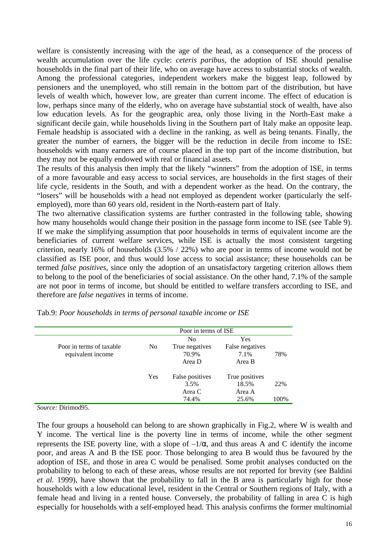welfare is consistently increasing with the age of the head, as a consequence of the process of wealth accumulation over the life cycle: *ceteris paribus*, the adoption of ISE should penalise households in the final part of their life, who on average have access to substantial stocks of wealth. Among the professional categories, independent workers make the biggest leap, followed by pensioners and the unemployed, who still remain in the bottom part of the distribution, but have levels of wealth which, however low, are greater than current income. The effect of education is low, perhaps since many of the elderly, who on average have substantial stock of wealth, have also low education levels. As for the geographic area, only those living in the North-East make a significant decile gain, while households living in the Southern part of Italy make an opposite leap. Female headship is associated with a decline in the ranking, as well as being tenants. Finally, the greater the number of earners, the bigger will be the reduction in decile from income to ISE: households with many earners are of course placed in the top part of the income distribution, but they may not be equally endowed with real or financial assets.

The results of this analysis then imply that the likely "winners" from the adoption of ISE, in terms of a more favourable and easy access to social services, are households in the first stages of their life cycle, residents in the South, and with a dependent worker as the head. On the contrary, the "losers" will be households with a head not employed as dependent worker (particularly the selfemployed), more than 60 years old, resident in the North-eastern part of Italy.

The two alternative classification systems are further contrasted in the following table, showing how many households would change their position in the passage form income to ISE (see Table 9). If we make the simplifying assumption that poor households in terms of equivalent income are the beneficiaries of current welfare services, while ISE is actually the most consistent targeting criterion, nearly 16% of households (3.5% / 22%) who are poor in terms of income would not be classified as ISE poor, and thus would lose access to social assistance; these households can be termed *false positives*, since only the adoption of an unsatisfactory targeting criterion allows them to belong to the pool of the beneficiaries of social assistance. On the other hand, 7.1% of the sample are not poor in terms of income, but should be entitled to welfare transfers according to ISE, and therefore are *false negatives* in terms of income.

|                          | Poor in terms of ISE |                 |                 |      |  |  |  |
|--------------------------|----------------------|-----------------|-----------------|------|--|--|--|
|                          |                      | No              | Yes             |      |  |  |  |
| Poor in terms of taxable | N <sub>0</sub>       | True negatives  | False negatives |      |  |  |  |
| equivalent income        |                      | 70.9%           | 7.1%            | 78%  |  |  |  |
|                          |                      | Area D          | Area B          |      |  |  |  |
|                          | Yes                  | False positives | True positives  |      |  |  |  |
|                          |                      | 3.5%            | 18.5%           | 22%  |  |  |  |
|                          |                      | Area C          | Area A          |      |  |  |  |
|                          |                      | 74.4%           | 25.6%           | 100% |  |  |  |

Tab.9: *Poor households in terms of personal taxable income or ISE*

*Source:* Dirimod95.

The four groups a household can belong to are shown graphically in Fig.2, where W is wealth and Y income. The vertical line is the poverty line in terms of income, while the other segment represents the ISE poverty line, with a slope of  $-1/\alpha$ , and thus areas A and C identify the income poor, and areas A and B the ISE poor. Those belonging to area B would thus be favoured by the adoption of ISE, and those in area C would be penalised. Some probit analyses conducted on the probability to belong to each of these areas, whose results are not reported for brevity (see Baldini *et al.* 1999), have shown that the probability to fall in the B area is particularly high for those households with a low educational level, resident in the Central or Southern regions of Italy, with a female head and living in a rented house. Conversely, the probability of falling in area C is high especially for households with a self-employed head. This analysis confirms the former multinomial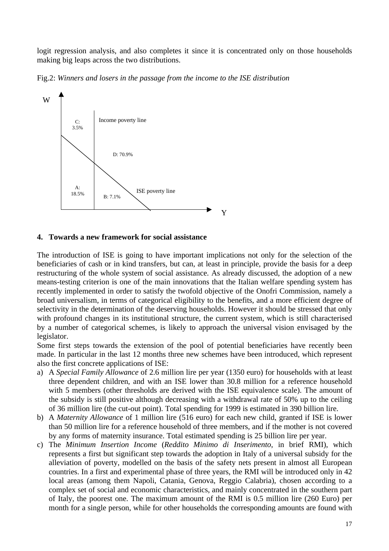logit regression analysis, and also completes it since it is concentrated only on those households making big leaps across the two distributions.

Fig.2: *Winners and losers in the passage from the income to the ISE distribution*



#### **4. Towards a new framework for social assistance**

The introduction of ISE is going to have important implications not only for the selection of the beneficiaries of cash or in kind transfers, but can, at least in principle, provide the basis for a deep restructuring of the whole system of social assistance. As already discussed, the adoption of a new means-testing criterion is one of the main innovations that the Italian welfare spending system has recently implemented in order to satisfy the twofold objective of the Onofri Commission, namely a broad universalism, in terms of categorical eligibility to the benefits, and a more efficient degree of selectivity in the determination of the deserving households. However it should be stressed that only with profound changes in its institutional structure, the current system, which is still characterised by a number of categorical schemes, is likely to approach the universal vision envisaged by the legislator.

Some first steps towards the extension of the pool of potential beneficiaries have recently been made. In particular in the last 12 months three new schemes have been introduced, which represent also the first concrete applications of ISE:

- a) A *Special Family Allowance* of 2.6 million lire per year (1350 euro) for households with at least three dependent children, and with an ISE lower than 30.8 million for a reference household with 5 members (other thresholds are derived with the ISE equivalence scale). The amount of the subsidy is still positive although decreasing with a withdrawal rate of 50% up to the ceiling of 36 million lire (the cut-out point). Total spending for 1999 is estimated in 390 billion lire.
- b) A *Maternity Allowance* of 1 million lire (516 euro) for each new child, granted if ISE is lower than 50 million lire for a reference household of three members, and if the mother is not covered by any forms of maternity insurance. Total estimated spending is 25 billion lire per year.
- c) The *Minimum Insertion Income* (*Reddito Minimo di Inserimento*, in brief RMI), which represents a first but significant step towards the adoption in Italy of a universal subsidy for the alleviation of poverty, modelled on the basis of the safety nets present in almost all European countries. In a first and experimental phase of three years, the RMI will be introduced only in 42 local areas (among them Napoli, Catania, Genova, Reggio Calabria), chosen according to a complex set of social and economic characteristics, and mainly concentrated in the southern part of Italy, the poorest one. The maximum amount of the RMI is 0.5 million lire (260 Euro) per month for a single person, while for other households the corresponding amounts are found with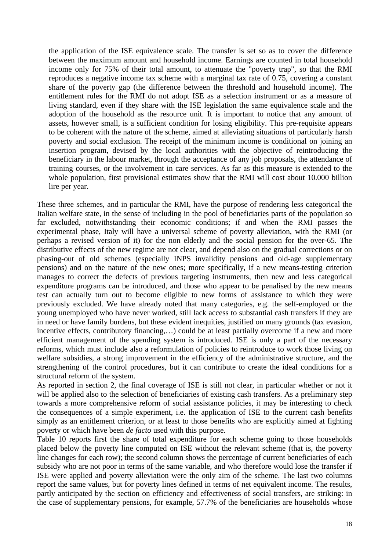the application of the ISE equivalence scale. The transfer is set so as to cover the difference between the maximum amount and household income. Earnings are counted in total household income only for 75% of their total amount, to attenuate the "poverty trap", so that the RMI reproduces a negative income tax scheme with a marginal tax rate of 0.75, covering a constant share of the poverty gap (the difference between the threshold and household income). The entitlement rules for the RMI do not adopt ISE as a selection instrument or as a measure of living standard, even if they share with the ISE legislation the same equivalence scale and the adoption of the household as the resource unit. It is important to notice that any amount of assets, however small, is a sufficient condition for losing eligibility. This pre-requisite appears to be coherent with the nature of the scheme, aimed at alleviating situations of particularly harsh poverty and social exclusion. The receipt of the minimum income is conditional on joining an insertion program, devised by the local authorities with the objective of reintroducing the beneficiary in the labour market, through the acceptance of any job proposals, the attendance of training courses, or the involvement in care services. As far as this measure is extended to the whole population, first provisional estimates show that the RMI will cost about 10.000 billion lire per year.

These three schemes, and in particular the RMI, have the purpose of rendering less categorical the Italian welfare state, in the sense of including in the pool of beneficiaries parts of the population so far excluded, notwithstanding their economic conditions; if and when the RMI passes the experimental phase, Italy will have a universal scheme of poverty alleviation, with the RMI (or perhaps a revised version of it) for the non elderly and the social pension for the over-65. The distributive effects of the new regime are not clear, and depend also on the gradual corrections or on phasing-out of old schemes (especially INPS invalidity pensions and old-age supplementary pensions) and on the nature of the new ones; more specifically, if a new means-testing criterion manages to correct the defects of previous targeting instruments, then new and less categorical expenditure programs can be introduced, and those who appear to be penalised by the new means test can actually turn out to become eligible to new forms of assistance to which they were previously excluded. We have already noted that many categories, e.g. the self-employed or the young unemployed who have never worked, still lack access to substantial cash transfers if they are in need or have family burdens, but these evident inequities, justified on many grounds (tax evasion, incentive effects, contributory financing,...) could be at least partially overcome if a new and more efficient management of the spending system is introduced. ISE is only a part of the necessary reforms, which must include also a reformulation of policies to reintroduce to work those living on welfare subsidies, a strong improvement in the efficiency of the administrative structure, and the strengthening of the control procedures, but it can contribute to create the ideal conditions for a structural reform of the system.

As reported in section 2, the final coverage of ISE is still not clear, in particular whether or not it will be applied also to the selection of beneficiaries of existing cash transfers. As a preliminary step towards a more comprehensive reform of social assistance policies, it may be interesting to check the consequences of a simple experiment, i.e. the application of ISE to the current cash benefits simply as an entitlement criterion, or at least to those benefits who are explicitly aimed at fighting poverty or which have been *de facto* used with this purpose.

Table 10 reports first the share of total expenditure for each scheme going to those households placed below the poverty line computed on ISE without the relevant scheme (that is, the poverty line changes for each row); the second column shows the percentage of current beneficiaries of each subsidy who are not poor in terms of the same variable, and who therefore would lose the transfer if ISE were applied and poverty alleviation were the only aim of the scheme. The last two columns report the same values, but for poverty lines defined in terms of net equivalent income. The results, partly anticipated by the section on efficiency and effectiveness of social transfers, are striking: in the case of supplementary pensions, for example, 57.7% of the beneficiaries are households whose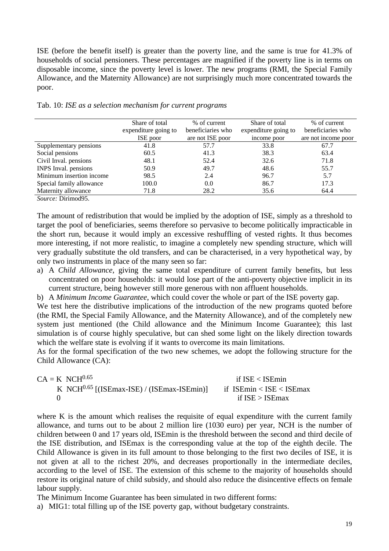ISE (before the benefit itself) is greater than the poverty line, and the same is true for 41.3% of households of social pensioners. These percentages are magnified if the poverty line is in terms on disposable income, since the poverty level is lower. The new programs (RMI, the Special Family Allowance, and the Maternity Allowance) are not surprisingly much more concentrated towards the poor.

|                          | Share of total       | % of current      | Share of total       | % of current        |
|--------------------------|----------------------|-------------------|----------------------|---------------------|
|                          | expenditure going to | beneficiaries who | expenditure going to | beneficiaries who   |
|                          | ISE poor             | are not ISE poor  | income poor          | are not income poor |
| Supplementary pensions   | 41.8                 | 57.7              | 33.8                 | 67.7                |
| Social pensions          | 60.5                 | 41.3              | 38.3                 | 63.4                |
| Civil Inval. pensions    | 48.1                 | 52.4              | 32.6                 | 71.8                |
| INPS Inval. pensions     | 50.9                 | 49.7              | 48.6                 | 55.7                |
| Minimum insertion income | 98.5                 | 2.4               | 96.7                 | 5.7                 |
| Special family allowance | 100.0                | 0.0               | 86.7                 | 17.3                |
| Maternity allowance      | 71.8                 | 28.2              | 35.6                 | 64.4                |

|  |  |  | Tab. 10: ISE as a selection mechanism for current programs |  |  |  |
|--|--|--|------------------------------------------------------------|--|--|--|
|--|--|--|------------------------------------------------------------|--|--|--|

*Source:* Dirimod95.

The amount of redistribution that would be implied by the adoption of ISE, simply as a threshold to target the pool of beneficiaries, seems therefore so pervasive to become politically impracticable in the short run, because it would imply an excessive reshuffling of vested rights. It thus becomes more interesting, if not more realistic, to imagine a completely new spending structure, which will very gradually substitute the old transfers, and can be characterised, in a very hypothetical way, by only two instruments in place of the many seen so far:

a) A *Child Allowance*, giving the same total expenditure of current family benefits, but less concentrated on poor households: it would lose part of the anti-poverty objective implicit in its current structure, being however still more generous with non affluent households.

b) A *Minimum Income Guarantee*, which could cover the whole or part of the ISE poverty gap.

We test here the distributive implications of the introduction of the new programs quoted before (the RMI, the Special Family Allowance, and the Maternity Allowance), and of the completely new system just mentioned (the Child allowance and the Minimum Income Guarantee); this last simulation is of course highly speculative, but can shed some light on the likely direction towards which the welfare state is evolving if it wants to overcome its main limitations.

As for the formal specification of the two new schemes, we adopt the following structure for the Child Allowance (CA):

| $CA = K NCH0.65$                                       | if $ISE < ISE$ min         |
|--------------------------------------------------------|----------------------------|
| K NCH <sup>0.65</sup> [(ISEmax-ISE) / (ISEmax-ISEmin)] | if $ISEmin < ISE < ISEmax$ |
|                                                        | if $ISE > ISEmax$          |

where K is the amount which realises the requisite of equal expenditure with the current family allowance, and turns out to be about 2 million lire (1030 euro) per year, NCH is the number of children between 0 and 17 years old, ISEmin is the threshold between the second and third decile of the ISE distribution, and ISEmax is the corresponding value at the top of the eighth decile. The Child Allowance is given in its full amount to those belonging to the first two deciles of ISE, it is not given at all to the richest 20%, and decreases proportionally in the intermediate deciles, according to the level of ISE. The extension of this scheme to the majority of households should restore its original nature of child subsidy, and should also reduce the disincentive effects on female labour supply.

The Minimum Income Guarantee has been simulated in two different forms:

a) MIG1: total filling up of the ISE poverty gap, without budgetary constraints.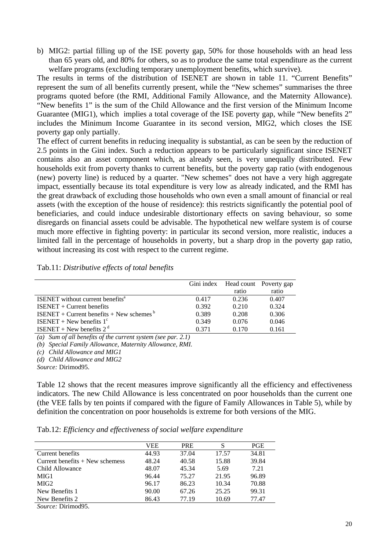b) MIG2: partial filling up of the ISE poverty gap, 50% for those households with an head less than 65 years old, and 80% for others, so as to produce the same total expenditure as the current welfare programs (excluding temporary unemployment benefits, which survive).

The results in terms of the distribution of ISENET are shown in table 11. "Current Benefits" represent the sum of all benefits currently present, while the "New schemes" summarises the three programs quoted before (the RMI, Additional Family Allowance, and the Maternity Allowance). "New benefits 1" is the sum of the Child Allowance and the first version of the Minimum Income Guarantee (MIG1), which implies a total coverage of the ISE poverty gap, while "New benefits 2" includes the Minimum Income Guarantee in its second version, MIG2, which closes the ISE poverty gap only partially.

The effect of current benefits in reducing inequality is substantial, as can be seen by the reduction of 2.5 points in the Gini index. Such a reduction appears to be particularly significant since ISENET contains also an asset component which, as already seen, is very unequally distributed. Few households exit from poverty thanks to current benefits, but the poverty gap ratio (with endogenous (new) poverty line) is reduced by a quarter. "New schemes" does not have a very high aggregate impact, essentially because its total expenditure is very low as already indicated, and the RMI has the great drawback of excluding those households who own even a small amount of financial or real assets (with the exception of the house of residence): this restricts significantly the potential pool of beneficiaries, and could induce undesirable distortionary effects on saving behaviour, so some disregards on financial assets could be advisable. The hypothetical new welfare system is of course much more effective in fighting poverty: in particular its second version, more realistic, induces a limited fall in the percentage of households in poverty, but a sharp drop in the poverty gap ratio, without increasing its cost with respect to the current regime.

|                                              | Gini index | Head count Poverty gap |       |
|----------------------------------------------|------------|------------------------|-------|
|                                              |            | ratio                  | ratio |
| ISENET without current benefits <sup>a</sup> | 0.417      | 0.236                  | 0.407 |
| $ISENET + Current benefits$                  | 0.392      | 0.210                  | 0.324 |
| $ISENET + Current benefits + New schemesb$   | 0.389      | 0.208                  | 0.306 |
| ISENET + New benefits $1^{\circ}$            | 0.349      | 0.076                  | 0.046 |
| ISENET + New benefits $2^d$                  | 0.371      | 0.170                  | 0.161 |

Tab.11: *Distributive effects of total benefits*

*(a) Sum of all benefits of the current system (see par. 2.1)*

*(b) Special Family Allowance, Maternity Allowance, RMI.*

*(c) Child Allowance and MIG1*

*(d) Child Allowance and MIG2*

*Source:* Dirimod95.

Table 12 shows that the recent measures improve significantly all the efficiency and effectiveness indicators. The new Child Allowance is less concentrated on poor households than the current one (the VEE falls by ten points if compared with the figure of Family Allowances in Table 5), while by definition the concentration on poor households is extreme for both versions of the MIG.

|  |  |  |  | Tab.12: Efficiency and effectiveness of social welfare expenditure |  |
|--|--|--|--|--------------------------------------------------------------------|--|
|--|--|--|--|--------------------------------------------------------------------|--|

|                                                  | VEE   | <b>PRE</b> | S     | <b>PGE</b> |
|--------------------------------------------------|-------|------------|-------|------------|
| Current benefits                                 | 44.93 | 37.04      | 17.57 | 34.81      |
| Current benefits $+$ New schemess                | 48.24 | 40.58      | 15.88 | 39.84      |
| Child Allowance                                  | 48.07 | 45.34      | 5.69  | 7.21       |
| MIG1                                             | 96.44 | 75.27      | 21.95 | 96.89      |
| MIG <sub>2</sub>                                 | 96.17 | 86.23      | 10.34 | 70.88      |
| New Benefits 1                                   | 90.00 | 67.26      | 25.25 | 99.31      |
| New Benefits 2                                   | 86.43 | 77.19      | 10.69 | 77.47      |
| $\sim \cdot$ .<br>$\sim$ $\sim$<br>$\sim$ $\sim$ |       |            |       |            |

*Source:* Dirimod95.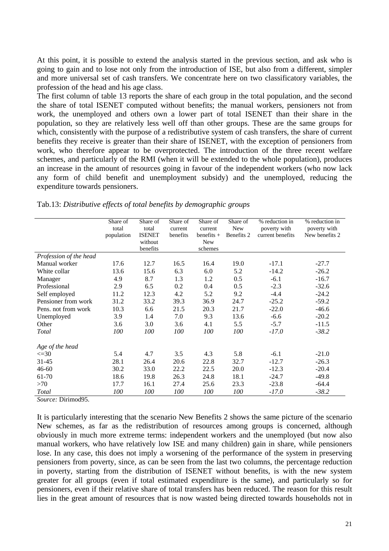At this point, it is possible to extend the analysis started in the previous section, and ask who is going to gain and to lose not only from the introduction of ISE, but also from a different, simpler and more universal set of cash transfers. We concentrate here on two classificatory variables, the profession of the head and his age class.

The first column of table 13 reports the share of each group in the total population, and the second the share of total ISENET computed without benefits; the manual workers, pensioners not from work, the unemployed and others own a lower part of total ISENET than their share in the population, so they are relatively less well off than other groups. These are the same groups for which, consistently with the purpose of a redistributive system of cash transfers, the share of current benefits they receive is greater than their share of ISENET, with the exception of pensioners from work, who therefore appear to be overprotected. The introduction of the three recent welfare schemes, and particularly of the RMI (when it will be extended to the whole population), produces an increase in the amount of resources going in favour of the independent workers (who now lack any form of child benefit and unemployment subsidy) and the unemployed, reducing the expenditure towards pensioners.

|                               | Share of<br>total<br>population | Share of<br>total<br><b>ISENET</b><br>without<br>benefits | Share of<br>current<br>benefits | Share of<br>current<br>$benefits +$<br><b>New</b><br>schemes | Share of<br><b>New</b><br>Benefits 2 | % reduction in<br>poverty with<br>current benefits | % reduction in<br>poverty with<br>New benefits 2 |
|-------------------------------|---------------------------------|-----------------------------------------------------------|---------------------------------|--------------------------------------------------------------|--------------------------------------|----------------------------------------------------|--------------------------------------------------|
| Profession of the head        |                                 |                                                           |                                 |                                                              |                                      |                                                    |                                                  |
| Manual worker                 | 17.6                            | 12.7                                                      | 16.5                            | 16.4                                                         | 19.0                                 | $-17.1$                                            | $-27.7$                                          |
| White collar                  | 13.6                            | 15.6                                                      | 6.3                             | 6.0                                                          | 5.2                                  | $-14.2$                                            | $-26.2$                                          |
| Manager                       | 4.9                             | 8.7                                                       | 1.3                             | 1.2                                                          | 0.5                                  | $-6.1$                                             | $-16.7$                                          |
| Professional                  | 2.9                             | 6.5                                                       | 0.2                             | 0.4                                                          | 0.5                                  | $-2.3$                                             | $-32.6$                                          |
| Self employed                 | 11.2                            | 12.3                                                      | 4.2                             | 5.2                                                          | 9.2                                  | $-4.4$                                             | $-24.2$                                          |
| Pensioner from work           | 31.2                            | 33.2                                                      | 39.3                            | 36.9                                                         | 24.7                                 | $-25.2$                                            | $-59.2$                                          |
| Pens. not from work           | 10.3                            | 6.6                                                       | 21.5                            | 20.3                                                         | 21.7                                 | $-22.0$                                            | $-46.6$                                          |
| Unemployed                    | 3.9                             | 1.4                                                       | 7.0                             | 9.3                                                          | 13.6                                 | $-6.6$                                             | $-20.2$                                          |
| Other                         | 3.6                             | 3.0                                                       | 3.6                             | 4.1                                                          | 5.5                                  | $-5.7$                                             | $-11.5$                                          |
| Total                         | 100                             | 100                                                       | 100                             | 100                                                          | 100                                  | $-17.0$                                            | $-38.2$                                          |
| Age of the head               |                                 |                                                           |                                 |                                                              |                                      |                                                    |                                                  |
| $\leq$ =30                    | 5.4                             | 4.7                                                       | 3.5                             | 4.3                                                          | 5.8                                  | $-6.1$                                             | $-21.0$                                          |
| $31 - 45$                     | 28.1                            | 26.4                                                      | 20.6                            | 22.8                                                         | 32.7                                 | $-12.7$                                            | $-26.3$                                          |
| $46 - 60$                     | 30.2                            | 33.0                                                      | 22.2                            | 22.5                                                         | 20.0                                 | $-12.3$                                            | $-20.4$                                          |
| 61-70                         | 18.6                            | 19.8                                                      | 26.3                            | 24.8                                                         | 18.1                                 | $-24.7$                                            | $-49.8$                                          |
| >70                           | 17.7                            | 16.1                                                      | 27.4                            | 25.6                                                         | 23.3                                 | $-23.8$                                            | $-64.4$                                          |
| Total<br>$\sim$ $\sim$ $\sim$ | 100                             | 100                                                       | 100                             | 100                                                          | 100                                  | $-17.0$                                            | $-38.2$                                          |

*Source:* Dirimod95.

It is particularly interesting that the scenario New Benefits 2 shows the same picture of the scenario New schemes, as far as the redistribution of resources among groups is concerned, although obviously in much more extreme terms: independent workers and the unemployed (but now also manual workers, who have relatively low ISE and many children) gain in share, while pensioners lose. In any case, this does not imply a worsening of the performance of the system in preserving pensioners from poverty, since, as can be seen from the last two columns, the percentage reduction in poverty, starting from the distribution of ISENET without benefits, is with the new system greater for all groups (even if total estimated expenditure is the same), and particularly so for pensioners, even if their relative share of total transfers has been reduced. The reason for this result lies in the great amount of resources that is now wasted being directed towards households not in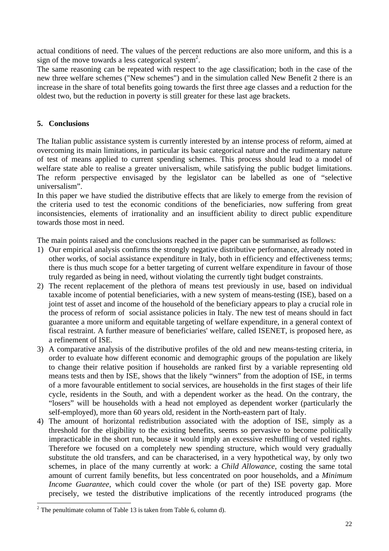actual conditions of need. The values of the percent reductions are also more uniform, and this is a sign of the move towards a less categorical system<sup>2</sup>.

The same reasoning can be repeated with respect to the age classification; both in the case of the new three welfare schemes ("New schemes") and in the simulation called New Benefit 2 there is an increase in the share of total benefits going towards the first three age classes and a reduction for the oldest two, but the reduction in poverty is still greater for these last age brackets.

## **5. Conclusions**

The Italian public assistance system is currently interested by an intense process of reform, aimed at overcoming its main limitations, in particular its basic categorical nature and the rudimentary nature of test of means applied to current spending schemes. This process should lead to a model of welfare state able to realise a greater universalism, while satisfying the public budget limitations. The reform perspective envisaged by the legislator can be labelled as one of "selective universalism".

In this paper we have studied the distributive effects that are likely to emerge from the revision of the criteria used to test the economic conditions of the beneficiaries, now suffering from great inconsistencies, elements of irrationality and an insufficient ability to direct public expenditure towards those most in need.

The main points raised and the conclusions reached in the paper can be summarised as follows:

- 1) Our empirical analysis confirms the strongly negative distributive performance, already noted in other works, of social assistance expenditure in Italy, both in efficiency and effectiveness terms; there is thus much scope for a better targeting of current welfare expenditure in favour of those truly regarded as being in need, without violating the currently tight budget constraints.
- 2) The recent replacement of the plethora of means test previously in use, based on individual taxable income of potential beneficiaries, with a new system of means-testing (ISE), based on a joint test of asset and income of the household of the beneficiary appears to play a crucial role in the process of reform of social assistance policies in Italy. The new test of means should in fact guarantee a more uniform and equitable targeting of welfare expenditure, in a general context of fiscal restraint. A further measure of beneficiaries' welfare, called ISENET, is proposed here, as a refinement of ISE.
- 3) A comparative analysis of the distributive profiles of the old and new means-testing criteria, in order to evaluate how different economic and demographic groups of the population are likely to change their relative position if households are ranked first by a variable representing old means tests and then by ISE, shows that the likely "winners" from the adoption of ISE, in terms of a more favourable entitlement to social services, are households in the first stages of their life cycle, residents in the South, and with a dependent worker as the head. On the contrary, the "losers" will be households with a head not employed as dependent worker (particularly the self-employed), more than 60 years old, resident in the North-eastern part of Italy.
- 4) The amount of horizontal redistribution associated with the adoption of ISE, simply as a threshold for the eligibility to the existing benefits, seems so pervasive to become politically impracticable in the short run, because it would imply an excessive reshuffling of vested rights. Therefore we focused on a completely new spending structure, which would very gradually substitute the old transfers, and can be characterised, in a very hypothetical way, by only two schemes, in place of the many currently at work: a *Child Allowance*, costing the same total amount of current family benefits, but less concentrated on poor households, and a *Minimum Income Guarantee*, which could cover the whole (or part of the) ISE poverty gap. More precisely, we tested the distributive implications of the recently introduced programs (the

 $\overline{a}$ 

<sup>&</sup>lt;sup>2</sup> The penultimate column of Table 13 is taken from Table 6, column d).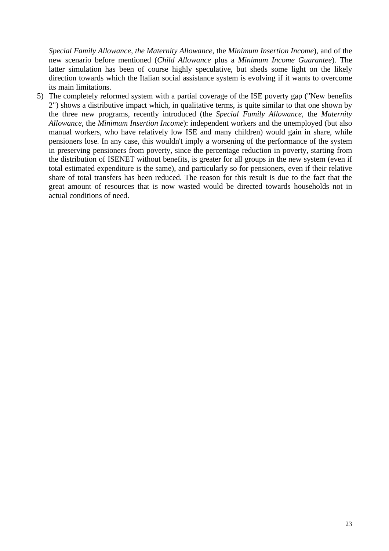*Special Family Allowance*, *the Maternity Allowance*, the *Minimum Insertion Income*), and of the new scenario before mentioned (*Child Allowance* plus a *Minimum Income Guarantee*). The latter simulation has been of course highly speculative, but sheds some light on the likely direction towards which the Italian social assistance system is evolving if it wants to overcome its main limitations.

5) The completely reformed system with a partial coverage of the ISE poverty gap ("New benefits 2") shows a distributive impact which, in qualitative terms, is quite similar to that one shown by the three new programs, recently introduced (the *Special Family Allowance*, the *Maternity Allowance*, the *Minimum Insertion Income*): independent workers and the unemployed (but also manual workers, who have relatively low ISE and many children) would gain in share, while pensioners lose. In any case, this wouldn't imply a worsening of the performance of the system in preserving pensioners from poverty, since the percentage reduction in poverty, starting from the distribution of ISENET without benefits, is greater for all groups in the new system (even if total estimated expenditure is the same), and particularly so for pensioners, even if their relative share of total transfers has been reduced. The reason for this result is due to the fact that the great amount of resources that is now wasted would be directed towards households not in actual conditions of need.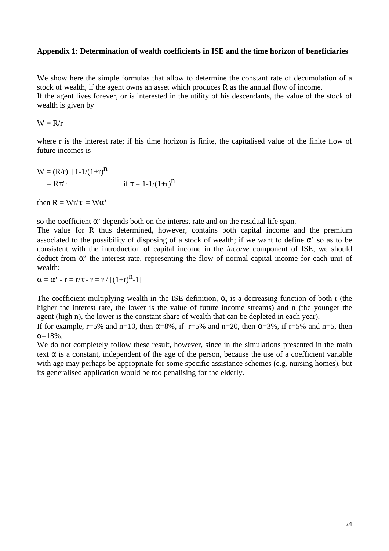#### **Appendix 1: Determination of wealth coefficients in ISE and the time horizon of beneficiaries**

We show here the simple formulas that allow to determine the constant rate of decumulation of a stock of wealth, if the agent owns an asset which produces R as the annual flow of income. If the agent lives forever, or is interested in the utility of his descendants, the value of the stock of wealth is given by

 $W = R/r$ 

where r is the interest rate; if his time horizon is finite, the capitalised value of the finite flow of future incomes is

W = (R/r) [1-1/(1+r)n ] = Rτ/r if τ = 1-1/(1+r)n

then  $R = Wr/\tau = W\alpha'$ 

so the coefficient  $\alpha'$  depends both on the interest rate and on the residual life span.

The value for R thus determined, however, contains both capital income and the premium associated to the possibility of disposing of a stock of wealth; if we want to define  $\alpha'$  so as to be consistent with the introduction of capital income in the *income* component of ISE, we should deduct from  $\alpha'$  the interest rate, representing the flow of normal capital income for each unit of wealth:

 $\alpha = \alpha' - r = r/\tau - r = r / [(1+r)^{n} - 1]$ 

The coefficient multiplying wealth in the ISE definition,  $\alpha$ , is a decreasing function of both r (the higher the interest rate, the lower is the value of future income streams) and n (the younger the agent (high n), the lower is the constant share of wealth that can be depleted in each year).

If for example, r=5% and n=10, then  $\alpha$ =8%, if r=5% and n=20, then  $\alpha$ =3%, if r=5% and n=5, then  $\alpha = 18\%$ .

We do not completely follow these result, however, since in the simulations presented in the main text  $\alpha$  is a constant, independent of the age of the person, because the use of a coefficient variable with age may perhaps be appropriate for some specific assistance schemes (e.g. nursing homes), but its generalised application would be too penalising for the elderly.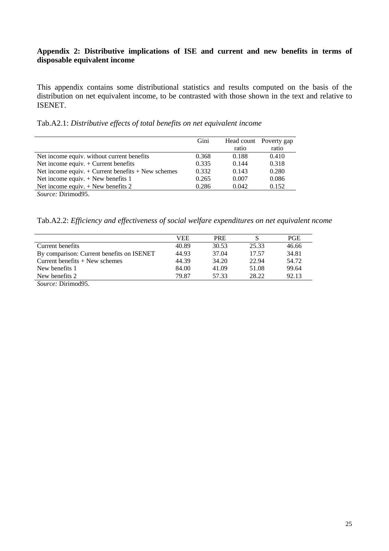## **Appendix 2: Distributive implications of ISE and current and new benefits in terms of disposable equivalent income**

This appendix contains some distributional statistics and results computed on the basis of the distribution on net equivalent income, to be contrasted with those shown in the text and relative to ISENET.

| Tab.A2.1: Distributive effects of total benefits on net equivalent income |  |  |  |
|---------------------------------------------------------------------------|--|--|--|
|                                                                           |  |  |  |

|                                                        | Gini  |       | Head count Poverty gap |
|--------------------------------------------------------|-------|-------|------------------------|
|                                                        |       | ratio | ratio                  |
| Net income equiv. without current benefits             | 0.368 | 0.188 | 0.410                  |
| Net income equiv. $+$ Current benefits                 | 0.335 | 0.144 | 0.318                  |
| Net income equiv. $+$ Current benefits $+$ New schemes | 0.332 | 0.143 | 0.280                  |
| Net income equiv. $+$ New benefits 1                   | 0.265 | 0.007 | 0.086                  |
| Net income equiv. $+$ New benefits 2                   | 0.286 | 0.042 | 0.152                  |
| $\alpha$ $\mathbb{R}^{1}$ $\ldots$ $\alpha$            |       |       |                        |

*Source:* Dirimod95.

Tab.A2.2: *Efficiency and effectiveness of social welfare expenditures on net equivalent ncome*

|                                             | VEE   | <b>PRE</b> |       | <b>PGE</b> |
|---------------------------------------------|-------|------------|-------|------------|
| Current benefits                            | 40.89 | 30.53      | 25.33 | 46.66      |
| By comparison: Current benefits on ISENET   | 44.93 | 37.04      | 17.57 | 34.81      |
| Current benefits $+$ New schemes            | 44.39 | 34.20      | 22.94 | 54.72      |
| New benefits 1                              | 84.00 | 41.09      | 51.08 | 99.64      |
| New benefits 2                              | 79.87 | 57.33      | 28.22 | 92.13      |
| $\alpha$ $\mathbb{R}^{1}$ $\ldots$ $\alpha$ |       |            |       |            |

*Source:* Dirimod95.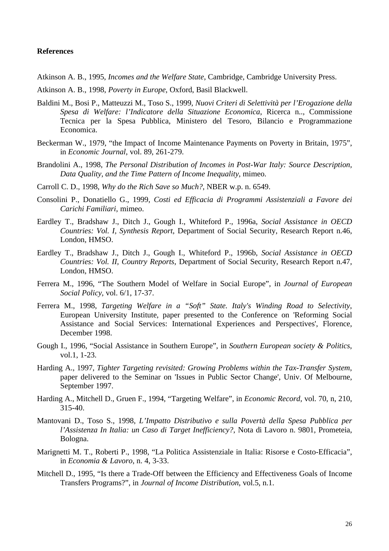#### **References**

Atkinson A. B., 1995, *Incomes and the Welfare State*, Cambridge, Cambridge University Press.

- Atkinson A. B., 1998, *Poverty in Europe*, Oxford, Basil Blackwell.
- Baldini M., Bosi P., Matteuzzi M., Toso S., 1999, *Nuovi Criteri di Selettività per l'Erogazione della Spesa di Welfare: l'Indicatore della Situazione Economica*, Ricerca n.., Commissione Tecnica per la Spesa Pubblica, Ministero del Tesoro, Bilancio e Programmazione Economica.
- Beckerman W., 1979, "the Impact of Income Maintenance Payments on Poverty in Britain, 1975", in *Economic Journal*, vol. 89, 261-279.
- Brandolini A., 1998, *The Personal Distribution of Incomes in Post-War Italy: Source Description, Data Quality, and the Time Pattern of Income Inequality*, mimeo.
- Carroll C. D., 1998, *Why do the Rich Save so Much?*, NBER w.p. n. 6549.
- Consolini P., Donatiello G., 1999, *Costi ed Efficacia di Programmi Assistenziali a Favore dei Carichi Familiari*, mimeo.
- Eardley T., Bradshaw J., Ditch J., Gough I., Whiteford P., 1996a, *Social Assistance in OECD Countries: Vol. I, Synthesis Report*, Department of Social Security, Research Report n.46, London, HMSO.
- Eardley T., Bradshaw J., Ditch J., Gough I., Whiteford P., 1996b, *Social Assistance in OECD Countries: Vol. II, Country Reports*, Department of Social Security, Research Report n.47, London, HMSO.
- Ferrera M., 1996, "The Southern Model of Welfare in Social Europe", in *Journal of European Social Policy*, vol. 6/1, 17-37.
- Ferrera M., 1998, *Targeting Welfare in a "Soft" State. Italy's Winding Road to Selectivity*, European University Institute, paper presented to the Conference on 'Reforming Social Assistance and Social Services: International Experiences and Perspectives', Florence, December 1998.
- Gough I., 1996, "Social Assistance in Southern Europe", in *Southern European society & Politics*, vol.1, 1-23.
- Harding A., 1997, *Tighter Targeting revisited: Growing Problems within the Tax-Transfer System*, paper delivered to the Seminar on 'Issues in Public Sector Change', Univ. Of Melbourne, September 1997.
- Harding A., Mitchell D., Gruen F., 1994, "Targeting Welfare", in *Economic Record*, vol. 70, n, 210, 315-40.
- Mantovani D., Toso S., 1998, *L'Impatto Distributivo e sulla Povertà della Spesa Pubblica per l'Assistenza In Italia: un Caso di Target Inefficiency?*, Nota di Lavoro n. 9801, Prometeia, Bologna.
- Marignetti M. T., Roberti P., 1998, "La Politica Assistenziale in Italia: Risorse e Costo-Efficacia", in *Economia & Lavoro*, n. 4, 3-33.
- Mitchell D., 1995, "Is there a Trade-Off between the Efficiency and Effectiveness Goals of Income Transfers Programs?", in *Journal of Income Distribution*, vol.5, n.1.